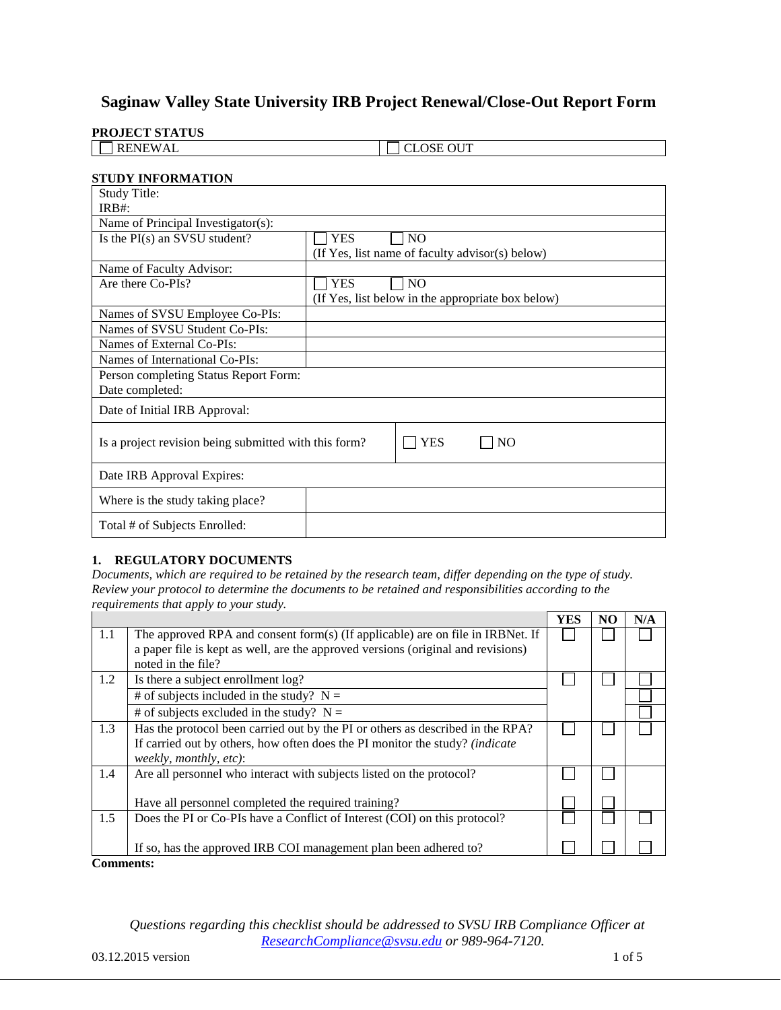# **Saginaw Valley State University IRB Project Renewal/Close-Out Report Form**

#### **PROJECT STATUS**

| ______<br>____ |                  |
|----------------|------------------|
| <b>RENEWAL</b> | <b>CLOSE OUT</b> |

### **STUDY INFORMATION**

| <b>Study Title:</b>                                   |                                                   |
|-------------------------------------------------------|---------------------------------------------------|
| $IRB#$ :                                              |                                                   |
| Name of Principal Investigator(s):                    |                                                   |
| Is the PI(s) an SVSU student?                         | <b>YES</b><br>N <sub>O</sub>                      |
|                                                       | (If Yes, list name of faculty advisor(s) below)   |
| Name of Faculty Advisor:                              |                                                   |
| Are there Co-PIs?                                     | <b>YES</b><br><b>NO</b>                           |
|                                                       | (If Yes, list below in the appropriate box below) |
| Names of SVSU Employee Co-PIs:                        |                                                   |
| Names of SVSU Student Co-PIs:                         |                                                   |
| Names of External Co-PIs:                             |                                                   |
| Names of International Co-PIs:                        |                                                   |
| Person completing Status Report Form:                 |                                                   |
| Date completed:                                       |                                                   |
| Date of Initial IRB Approval:                         |                                                   |
| Is a project revision being submitted with this form? | YES<br>N <sub>O</sub>                             |
| Date IRB Approval Expires:                            |                                                   |
| Where is the study taking place?                      |                                                   |
| Total # of Subjects Enrolled:                         |                                                   |

#### **1. REGULATORY DOCUMENTS**

*Documents, which are required to be retained by the research team, differ depending on the type of study. Review your protocol to determine the documents to be retained and responsibilities according to the requirements that apply to your study.* 

|                  |                                                                                                                                                                                          | <b>YES</b> | N <sub>O</sub> | N/A |
|------------------|------------------------------------------------------------------------------------------------------------------------------------------------------------------------------------------|------------|----------------|-----|
| 1.1              | The approved RPA and consent form(s) (If applicable) are on file in IRBNet. If<br>a paper file is kept as well, are the approved versions (original and revisions)<br>noted in the file? |            |                |     |
| 1.2              | Is there a subject enrollment log?                                                                                                                                                       |            |                |     |
|                  | # of subjects included in the study? $N =$                                                                                                                                               |            |                |     |
|                  | # of subjects excluded in the study? $N =$                                                                                                                                               |            |                |     |
| 1.3              | Has the protocol been carried out by the PI or others as described in the RPA?<br>If carried out by others, how often does the PI monitor the study? (indicate<br>weekly, monthly, etc): |            |                |     |
| 1.4              | Are all personnel who interact with subjects listed on the protocol?                                                                                                                     |            |                |     |
|                  | Have all personnel completed the required training?                                                                                                                                      |            |                |     |
| 1.5              | Does the PI or Co-PIs have a Conflict of Interest (COI) on this protocol?                                                                                                                |            |                |     |
|                  | If so, has the approved IRB COI management plan been adhered to?                                                                                                                         |            |                |     |
| <b>Comments:</b> |                                                                                                                                                                                          |            |                |     |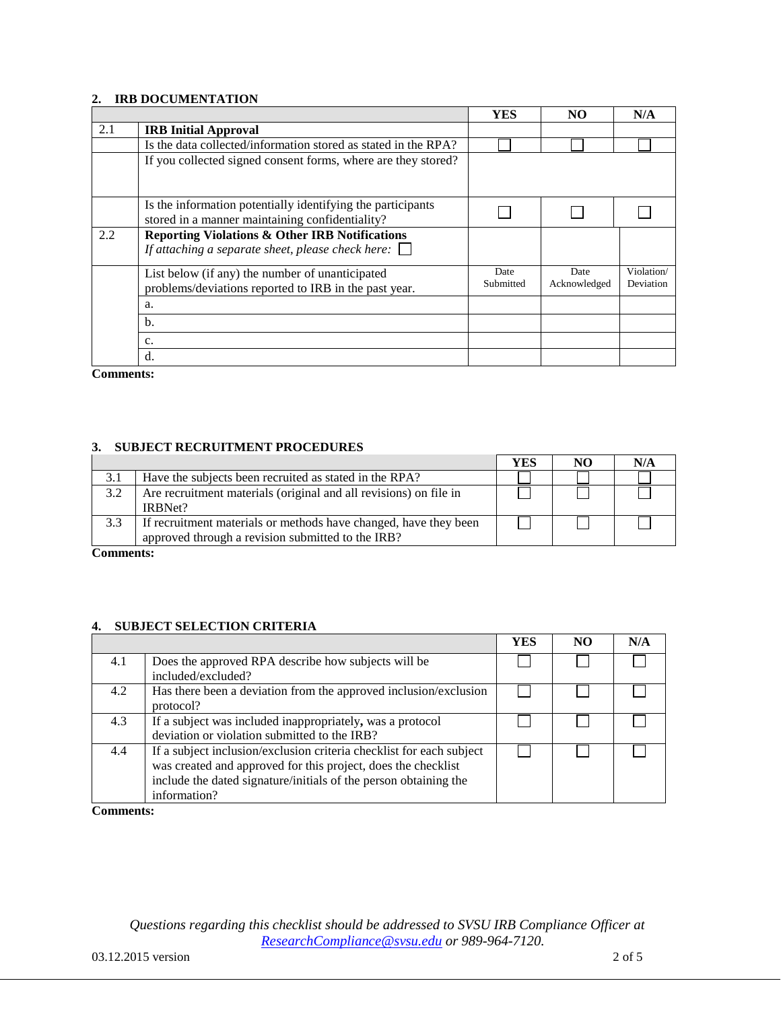#### **2. IRB DOCUMENTATION**

|     |                                                                                                                       | <b>YES</b>        | NO                   | N/A                     |
|-----|-----------------------------------------------------------------------------------------------------------------------|-------------------|----------------------|-------------------------|
| 2.1 | <b>IRB</b> Initial Approval                                                                                           |                   |                      |                         |
|     | Is the data collected/information stored as stated in the RPA?                                                        |                   |                      |                         |
|     | If you collected signed consent forms, where are they stored?                                                         |                   |                      |                         |
|     | Is the information potentially identifying the participants<br>stored in a manner maintaining confidentiality?        |                   |                      |                         |
| 2.2 | <b>Reporting Violations &amp; Other IRB Notifications</b><br>If attaching a separate sheet, please check here: $\Box$ |                   |                      |                         |
|     | List below (if any) the number of unanticipated<br>problems/deviations reported to IRB in the past year.              | Date<br>Submitted | Date<br>Acknowledged | Violation/<br>Deviation |
|     | a.                                                                                                                    |                   |                      |                         |
|     | $b$                                                                                                                   |                   |                      |                         |
|     | c.                                                                                                                    |                   |                      |                         |
|     | $\rm d$ .                                                                                                             |                   |                      |                         |

**Comments:**

#### **3. SUBJECT RECRUITMENT PROCEDURES**

|     |                                                                                                                       | YES | NO | N/A |
|-----|-----------------------------------------------------------------------------------------------------------------------|-----|----|-----|
| 3.1 | Have the subjects been recruited as stated in the RPA?                                                                |     |    |     |
| 3.2 | Are recruitment materials (original and all revisions) on file in<br>IRBNet?                                          |     |    |     |
| 3.3 | If recruitment materials or methods have changed, have they been<br>approved through a revision submitted to the IRB? |     |    |     |

**Comments:**

#### **4. SUBJECT SELECTION CRITERIA**

|     |                                                                                                                                                                                                                           | YES | NO <sub>1</sub> | N/A |
|-----|---------------------------------------------------------------------------------------------------------------------------------------------------------------------------------------------------------------------------|-----|-----------------|-----|
| 4.1 | Does the approved RPA describe how subjects will be<br>included/excluded?                                                                                                                                                 |     |                 |     |
| 4.2 | Has there been a deviation from the approved inclusion/exclusion<br>protocol?                                                                                                                                             |     |                 |     |
| 4.3 | If a subject was included inappropriately, was a protocol<br>deviation or violation submitted to the IRB?                                                                                                                 |     |                 |     |
| 4.4 | If a subject inclusion/exclusion criteria checklist for each subject<br>was created and approved for this project, does the checklist<br>include the dated signature/initials of the person obtaining the<br>information? |     |                 |     |

**Comments:**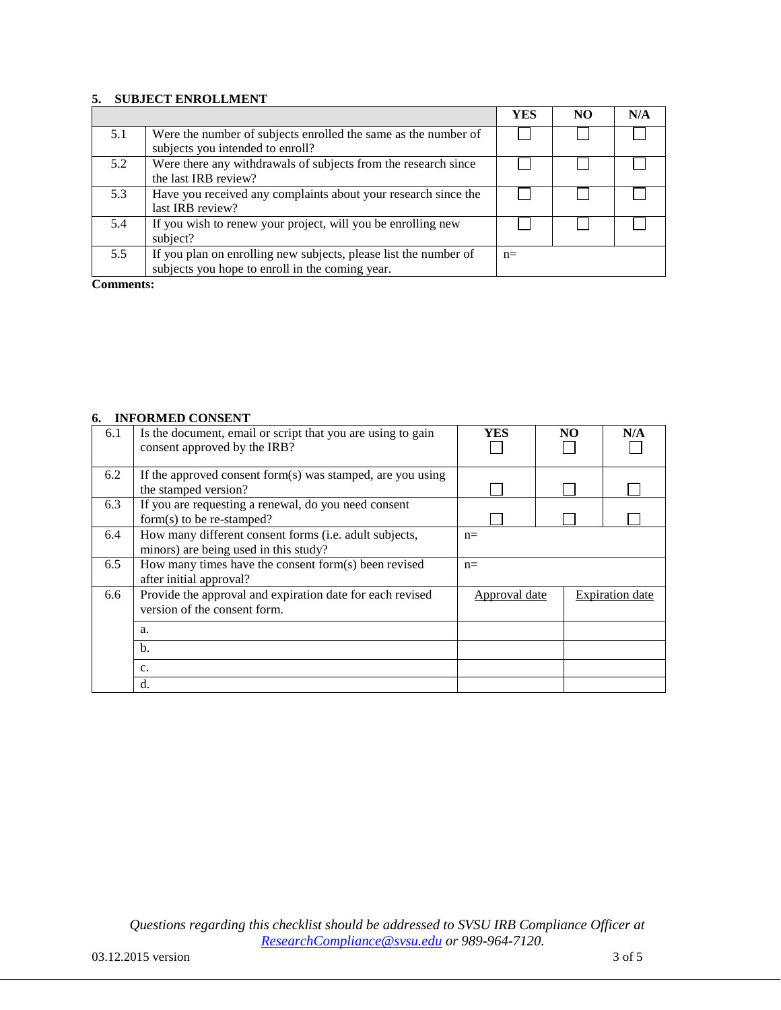### **5. SUBJECT ENROLLMENT**

|     |                                                                                                                     | YES   | N <sub>O</sub> | N/A |
|-----|---------------------------------------------------------------------------------------------------------------------|-------|----------------|-----|
| 5.1 | Were the number of subjects enrolled the same as the number of<br>subjects you intended to enroll?                  |       |                |     |
| 5.2 | Were there any withdrawals of subjects from the research since<br>the last IRB review?                              |       |                |     |
| 5.3 | Have you received any complaints about your research since the<br>last IRB review?                                  |       |                |     |
| 5.4 | If you wish to renew your project, will you be enrolling new<br>subject?                                            |       |                |     |
| 5.5 | If you plan on enrolling new subjects, please list the number of<br>subjects you hope to enroll in the coming year. | $n =$ |                |     |

**Comments:**

#### **6. INFORMED CONSENT**

| 6.1 | Is the document, email or script that you are using to gain<br>consent approved by the IRB?     | YES           | NO | N/A                    |
|-----|-------------------------------------------------------------------------------------------------|---------------|----|------------------------|
| 6.2 | If the approved consent form(s) was stamped, are you using<br>the stamped version?              |               |    |                        |
| 6.3 | If you are requesting a renewal, do you need consent<br>$form(s)$ to be re-stamped?             |               |    |                        |
| 6.4 | How many different consent forms (i.e. adult subjects,<br>minors) are being used in this study? | $n=$          |    |                        |
| 6.5 | How many times have the consent form(s) been revised<br>after initial approval?                 | $n=$          |    |                        |
| 6.6 | Provide the approval and expiration date for each revised<br>version of the consent form.       | Approval date |    | <b>Expiration</b> date |
|     | a.                                                                                              |               |    |                        |
|     | b.                                                                                              |               |    |                        |
|     | $C_{\star}$                                                                                     |               |    |                        |
|     | d.                                                                                              |               |    |                        |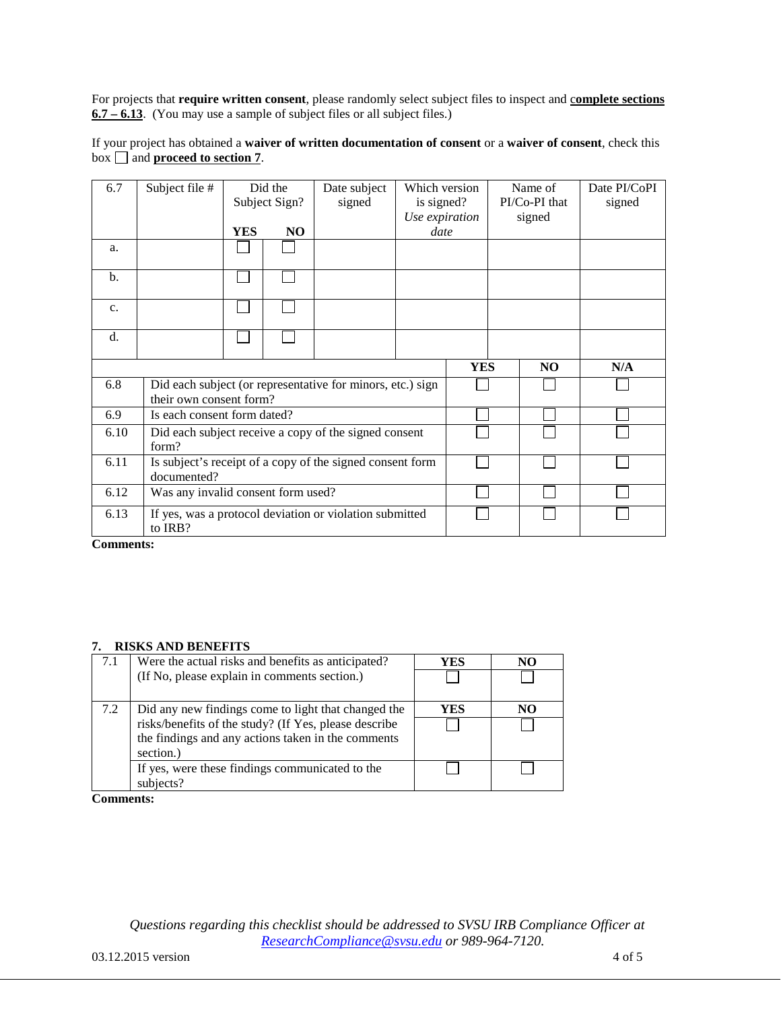For projects that **require written consent**, please randomly select subject files to inspect and c**omplete sections 6.7 – 6.13**. (You may use a sample of subject files or all subject files.)

If your project has obtained a **waiver of written documentation of consent** or a **waiver of consent**, check this box  $\Box$  and **proceed to section 7**.

| 6.7           | Subject file #                     |            | Did the<br>Subject Sign? | Date subject<br>signed                                     | Which version<br>is signed? |            | Name of<br>PI/Co-PI that | Date PI/CoPI<br>signed |
|---------------|------------------------------------|------------|--------------------------|------------------------------------------------------------|-----------------------------|------------|--------------------------|------------------------|
|               |                                    |            |                          |                                                            | Use expiration              |            | signed                   |                        |
|               |                                    | <b>YES</b> | NO                       |                                                            | date                        |            |                          |                        |
| a.            |                                    |            |                          |                                                            |                             |            |                          |                        |
| $\mathbf b$ . |                                    |            |                          |                                                            |                             |            |                          |                        |
| c.            |                                    |            |                          |                                                            |                             |            |                          |                        |
| $d$ .         |                                    |            |                          |                                                            |                             |            |                          |                        |
|               |                                    |            |                          |                                                            |                             | <b>YES</b> | N <sub>O</sub>           | N/A                    |
| 6.8           |                                    |            |                          | Did each subject (or representative for minors, etc.) sign |                             |            |                          |                        |
|               | their own consent form?            |            |                          |                                                            |                             |            |                          |                        |
| 6.9           | Is each consent form dated?        |            |                          |                                                            |                             |            |                          |                        |
| 6.10          | form?                              |            |                          | Did each subject receive a copy of the signed consent      |                             |            |                          |                        |
| 6.11          | documented?                        |            |                          | Is subject's receipt of a copy of the signed consent form  |                             |            |                          |                        |
| 6.12          | Was any invalid consent form used? |            |                          |                                                            |                             |            |                          |                        |
| 6.13          | to IRB?                            |            |                          | If yes, was a protocol deviation or violation submitted    |                             |            |                          |                        |

**Comments:**

#### **7. RISKS AND BENEFITS**

| 7.1 | Were the actual risks and benefits as anticipated?    | YES | NO |
|-----|-------------------------------------------------------|-----|----|
|     | (If No, please explain in comments section.)          |     |    |
| 7.2 | Did any new findings come to light that changed the   | YES | NO |
|     | risks/benefits of the study? (If Yes, please describe |     |    |
|     | the findings and any actions taken in the comments    |     |    |
|     | section.)                                             |     |    |
|     | If yes, were these findings communicated to the       |     |    |
|     | subjects?                                             |     |    |

**Comments:**